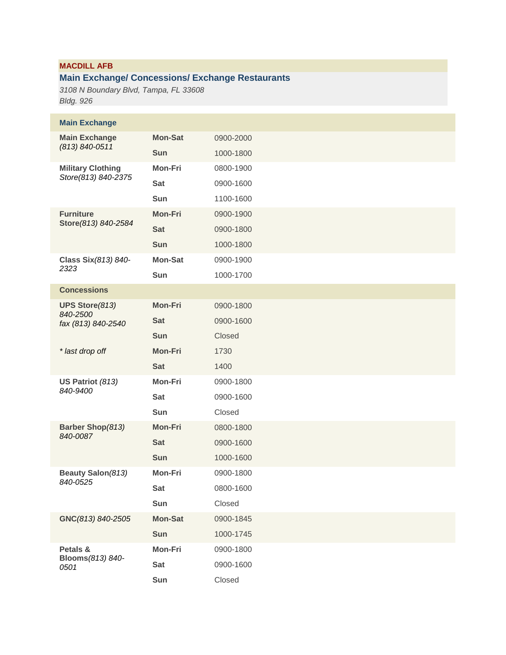# **MACDILL AFB**

# **Main Exchange/ Concessions/ Exchange Restaurants**

*3108 N Boundary Blvd, Tampa, FL 33608 Bldg. 926*

| <b>Main Exchange</b>                   |                |           |
|----------------------------------------|----------------|-----------|
| <b>Main Exchange</b><br>(813) 840-0511 | <b>Mon-Sat</b> | 0900-2000 |
|                                        | Sun            | 1000-1800 |
| <b>Military Clothing</b>               | <b>Mon-Fri</b> | 0800-1900 |
| Store(813) 840-2375                    | <b>Sat</b>     | 0900-1600 |
|                                        | Sun            | 1100-1600 |
| <b>Furniture</b>                       | <b>Mon-Fri</b> | 0900-1900 |
| Store (813) 840-2584                   | <b>Sat</b>     | 0900-1800 |
|                                        | Sun            | 1000-1800 |
| Class Six (813) 840-                   | <b>Mon-Sat</b> | 0900-1900 |
| 2323                                   | Sun            | 1000-1700 |
| <b>Concessions</b>                     |                |           |
| <b>UPS Store (813)</b>                 | <b>Mon-Fri</b> | 0900-1800 |
| 840-2500<br>fax (813) 840-2540         | <b>Sat</b>     | 0900-1600 |
|                                        | Sun            | Closed    |
| * last drop off                        | <b>Mon-Fri</b> | 1730      |
|                                        | <b>Sat</b>     | 1400      |
| US Patriot (813)<br>840-9400           | Mon-Fri        | 0900-1800 |
|                                        | <b>Sat</b>     | 0900-1600 |
|                                        | <b>Sun</b>     | Closed    |
| Barber Shop(813)                       | <b>Mon-Fri</b> | 0800-1800 |
| 840-0087                               | <b>Sat</b>     | 0900-1600 |
|                                        | <b>Sun</b>     | 1000-1600 |
| Beauty Salon (813)<br>840-0525         | Mon-Fri        | 0900-1800 |
|                                        | Sat            | 0800-1600 |
|                                        | Sun            | Closed    |
| GNC(813) 840-2505                      | <b>Mon-Sat</b> | 0900-1845 |
|                                        | Sun            | 1000-1745 |
| Petals &<br>Blooms (813) 840-          | Mon-Fri        | 0900-1800 |
| 0501                                   | <b>Sat</b>     | 0900-1600 |
|                                        | Sun            | Closed    |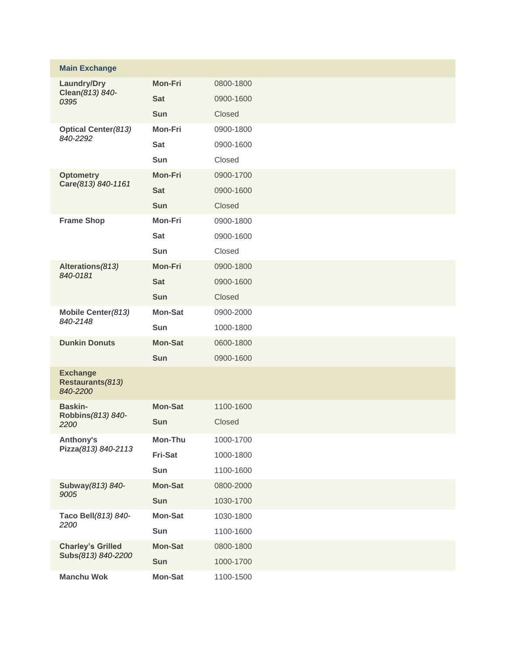| <b>Main Exchange</b>                            |                |           |
|-------------------------------------------------|----------------|-----------|
| Laundry/Dry<br>Clean (813) 840-<br>0395         | <b>Mon-Fri</b> | 0800-1800 |
|                                                 | <b>Sat</b>     | 0900-1600 |
|                                                 | <b>Sun</b>     | Closed    |
| <b>Optical Center (813)</b>                     | <b>Mon-Fri</b> | 0900-1800 |
| 840-2292                                        | <b>Sat</b>     | 0900-1600 |
|                                                 | <b>Sun</b>     | Closed    |
| <b>Optometry</b>                                | <b>Mon-Fri</b> | 0900-1700 |
| Care(813) 840-1161                              | <b>Sat</b>     | 0900-1600 |
|                                                 | <b>Sun</b>     | Closed    |
| <b>Frame Shop</b>                               | <b>Mon-Fri</b> | 0900-1800 |
|                                                 | <b>Sat</b>     | 0900-1600 |
|                                                 | <b>Sun</b>     | Closed    |
| Alterations(813)<br>840-0181                    | <b>Mon-Fri</b> | 0900-1800 |
|                                                 | <b>Sat</b>     | 0900-1600 |
|                                                 | <b>Sun</b>     | Closed    |
| Mobile Center (813)                             | <b>Mon-Sat</b> | 0900-2000 |
| 840-2148                                        | <b>Sun</b>     | 1000-1800 |
| <b>Dunkin Donuts</b>                            | <b>Mon-Sat</b> | 0600-1800 |
|                                                 | <b>Sun</b>     | 0900-1600 |
| <b>Exchange</b><br>Restaurants(813)<br>840-2200 |                |           |
| <b>Baskin-</b>                                  | <b>Mon-Sat</b> | 1100-1600 |
| Robbins (813) 840-<br>2200                      | <b>Sun</b>     | Closed    |
| Anthony's                                       | Mon-Thu        | 1000-1700 |
| Pizza(813) 840-2113                             | Fri-Sat        | 1000-1800 |
|                                                 | Sun            | 1100-1600 |
| Subway (813) 840-                               | <b>Mon-Sat</b> | 0800-2000 |
| 9005                                            | Sun            | 1030-1700 |
| Taco Bell(813) 840-                             | <b>Mon-Sat</b> | 1030-1800 |
| 2200                                            | Sun            | 1100-1600 |
| <b>Charley's Grilled</b>                        | <b>Mon-Sat</b> | 0800-1800 |
| Subs(813) 840-2200                              | Sun            | 1000-1700 |
| <b>Manchu Wok</b>                               | <b>Mon-Sat</b> | 1100-1500 |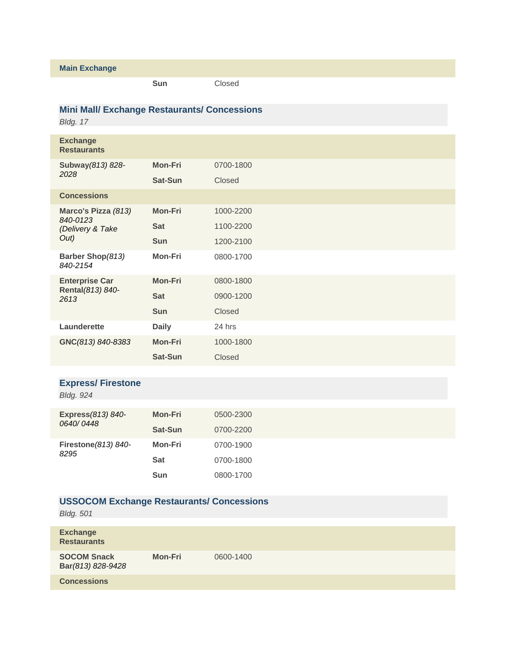#### **Main Exchange**

**Sun** Closed

## **Mini Mall/ Exchange Restaurants/ Concessions**

*Bldg. 17*

| <b>Exchange</b><br><b>Restaurants</b>                       |                |           |
|-------------------------------------------------------------|----------------|-----------|
| Subway (813) 828-<br>2028                                   | <b>Mon-Fri</b> | 0700-1800 |
|                                                             | Sat-Sun        | Closed    |
| <b>Concessions</b>                                          |                |           |
| Marco's Pizza (813)<br>840-0123<br>(Delivery & Take<br>Out) | <b>Mon-Fri</b> | 1000-2200 |
|                                                             | <b>Sat</b>     | 1100-2200 |
|                                                             | <b>Sun</b>     | 1200-2100 |
| Barber Shop(813)<br>840-2154                                | <b>Mon-Fri</b> | 0800-1700 |
| <b>Enterprise Car</b><br>Rental(813) 840-<br>2613           | <b>Mon-Fri</b> | 0800-1800 |
|                                                             | <b>Sat</b>     | 0900-1200 |
|                                                             | Sun            | Closed    |
| Launderette                                                 | <b>Daily</b>   | 24 hrs    |
| GNC(813) 840-8383                                           | <b>Mon-Fri</b> | 1000-1800 |
|                                                             | Sat-Sun        | Closed    |
|                                                             |                |           |

## **Express/ Firestone**

| <b>Bldg. 924</b>               |                |           |
|--------------------------------|----------------|-----------|
|                                |                |           |
| Express(813) 840-<br>0640/0448 | <b>Mon-Fri</b> | 0500-2300 |
|                                | Sat-Sun        | 0700-2200 |
| Firestone (813) 840-<br>8295   | Mon-Fri        | 0700-1900 |
|                                | <b>Sat</b>     | 0700-1800 |
|                                | <b>Sun</b>     | 0800-1700 |

## **USSOCOM Exchange Restaurants/ Concessions**

*Bldg. 501* 

| <b>Exchange</b><br><b>Restaurants</b>   |                |           |
|-----------------------------------------|----------------|-----------|
| <b>SOCOM Snack</b><br>Bar(813) 828-9428 | <b>Mon-Fri</b> | 0600-1400 |
| <b>Concessions</b>                      |                |           |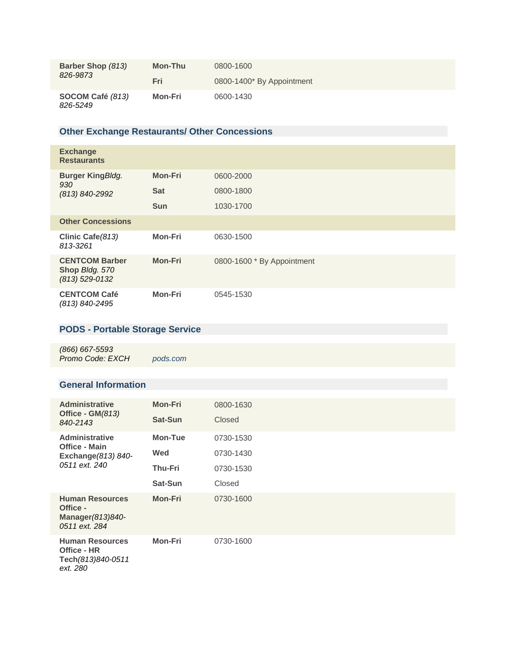| Barber Shop (813)<br>826-9873 | Mon-Thu | 0800-1600                 |
|-------------------------------|---------|---------------------------|
|                               | Fri     | 0800-1400* By Appointment |
| SOCOM Café (813)<br>826-5249  | Mon-Fri | 0600-1430                 |

## **Other Exchange Restaurants/ Other Concessions**

| <b>Exchange</b><br><b>Restaurants</b>                       |                |                            |
|-------------------------------------------------------------|----------------|----------------------------|
| <b>Burger KingBldg.</b><br>930<br>(813) 840-2992            | <b>Mon-Fri</b> | 0600-2000                  |
|                                                             | <b>Sat</b>     | 0800-1800                  |
|                                                             | <b>Sun</b>     | 1030-1700                  |
| <b>Other Concessions</b>                                    |                |                            |
| Clinic Cafe (813)<br>813-3261                               | <b>Mon-Fri</b> | 0630-1500                  |
| <b>CENTCOM Barber</b><br>Shop Bldg. 570<br>$(813)$ 529-0132 | <b>Mon-Fri</b> | 0800-1600 * By Appointment |
| <b>CENTCOM Café</b><br>(813) 840-2495                       | <b>Mon-Fri</b> | 0545-1530                  |

# **PODS - Portable Storage Service**

*(866) 667-5593 Promo Code: EXCH [pods.com](http://www.pods.com/militaryexchange)*

#### **General Information**

| <b>Administrative</b><br>Office - $GM(813)$<br>840-2143                               | <b>Mon-Fri</b> | 0800-1630 |
|---------------------------------------------------------------------------------------|----------------|-----------|
|                                                                                       | Sat-Sun        | Closed    |
| <b>Administrative</b><br><b>Office - Main</b><br>Exchange (813) 840-<br>0511 ext. 240 | Mon-Tue        | 0730-1530 |
|                                                                                       | Wed            | 0730-1430 |
|                                                                                       | <b>Thu-Fri</b> | 0730-1530 |
|                                                                                       | Sat-Sun        | Closed    |
| <b>Human Resources</b><br>Office -<br>Manager $(813)840-$<br>0511 ext. 284            | <b>Mon-Fri</b> | 0730-1600 |
| <b>Human Resources</b><br>Office - HR<br>Tech(813)840-0511<br>ext. 280                | <b>Mon-Fri</b> | 0730-1600 |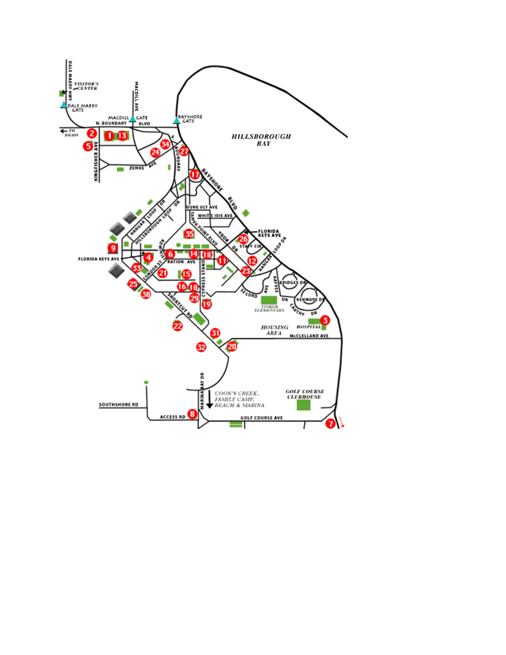